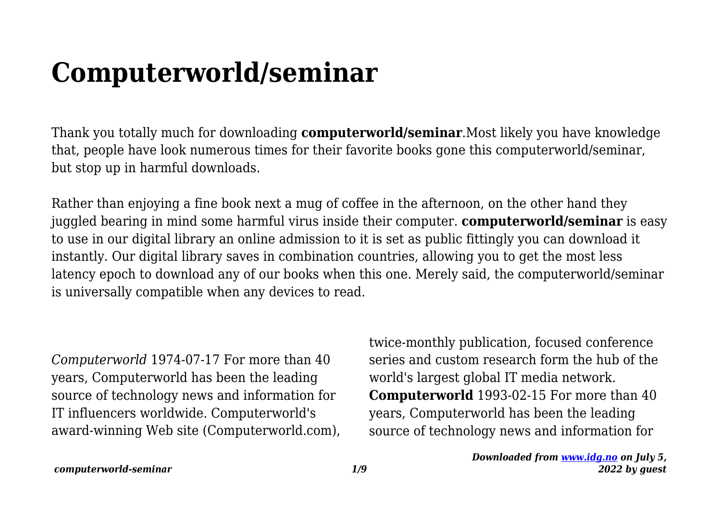## **Computerworld/seminar**

Thank you totally much for downloading **computerworld/seminar**.Most likely you have knowledge that, people have look numerous times for their favorite books gone this computerworld/seminar, but stop up in harmful downloads.

Rather than enjoying a fine book next a mug of coffee in the afternoon, on the other hand they juggled bearing in mind some harmful virus inside their computer. **computerworld/seminar** is easy to use in our digital library an online admission to it is set as public fittingly you can download it instantly. Our digital library saves in combination countries, allowing you to get the most less latency epoch to download any of our books when this one. Merely said, the computerworld/seminar is universally compatible when any devices to read.

*Computerworld* 1974-07-17 For more than 40 years, Computerworld has been the leading source of technology news and information for IT influencers worldwide. Computerworld's award-winning Web site (Computerworld.com), twice-monthly publication, focused conference series and custom research form the hub of the world's largest global IT media network. **Computerworld** 1993-02-15 For more than 40 years, Computerworld has been the leading source of technology news and information for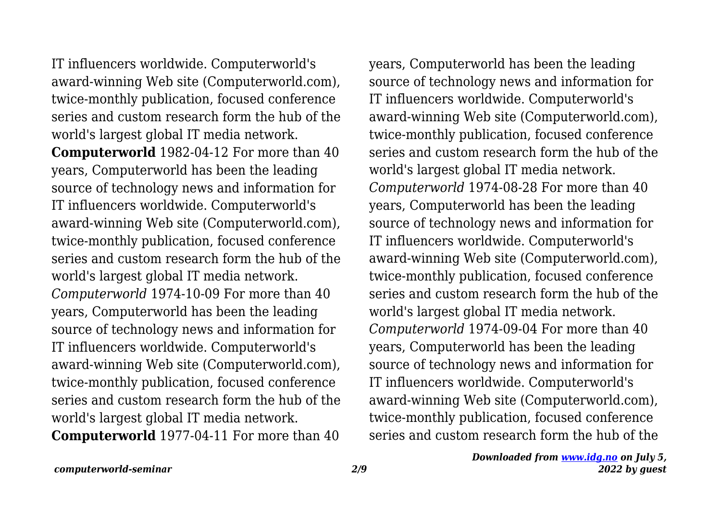IT influencers worldwide. Computerworld's award-winning Web site (Computerworld.com), twice-monthly publication, focused conference series and custom research form the hub of the world's largest global IT media network. **Computerworld** 1982-04-12 For more than 40 years, Computerworld has been the leading source of technology news and information for IT influencers worldwide. Computerworld's award-winning Web site (Computerworld.com), twice-monthly publication, focused conference series and custom research form the hub of the world's largest global IT media network. *Computerworld* 1974-10-09 For more than 40 years, Computerworld has been the leading source of technology news and information for IT influencers worldwide. Computerworld's award-winning Web site (Computerworld.com), twice-monthly publication, focused conference series and custom research form the hub of the world's largest global IT media network. **Computerworld** 1977-04-11 For more than 40

years, Computerworld has been the leading source of technology news and information for IT influencers worldwide. Computerworld's award-winning Web site (Computerworld.com), twice-monthly publication, focused conference series and custom research form the hub of the world's largest global IT media network. *Computerworld* 1974-08-28 For more than 40 years, Computerworld has been the leading source of technology news and information for IT influencers worldwide. Computerworld's award-winning Web site (Computerworld.com), twice-monthly publication, focused conference series and custom research form the hub of the world's largest global IT media network. *Computerworld* 1974-09-04 For more than 40 years, Computerworld has been the leading source of technology news and information for IT influencers worldwide. Computerworld's award-winning Web site (Computerworld.com), twice-monthly publication, focused conference series and custom research form the hub of the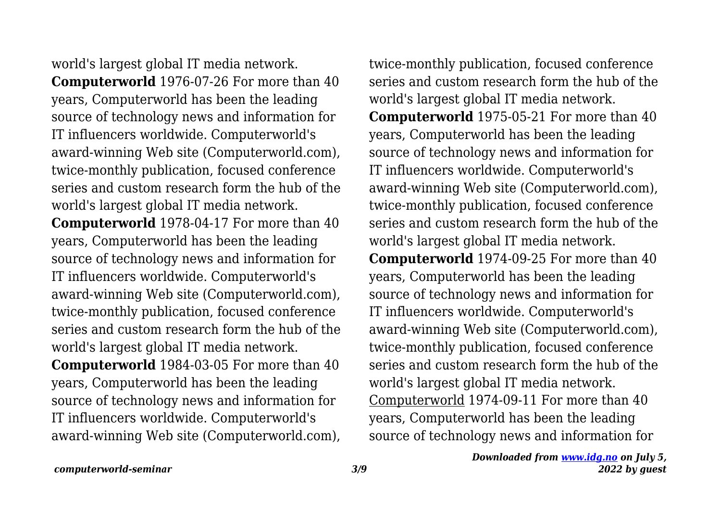world's largest global IT media network. **Computerworld** 1976-07-26 For more than 40 years, Computerworld has been the leading source of technology news and information for IT influencers worldwide. Computerworld's award-winning Web site (Computerworld.com), twice-monthly publication, focused conference series and custom research form the hub of the world's largest global IT media network. **Computerworld** 1978-04-17 For more than 40 years, Computerworld has been the leading source of technology news and information for IT influencers worldwide. Computerworld's award-winning Web site (Computerworld.com), twice-monthly publication, focused conference series and custom research form the hub of the world's largest global IT media network. **Computerworld** 1984-03-05 For more than 40 years, Computerworld has been the leading source of technology news and information for IT influencers worldwide. Computerworld's award-winning Web site (Computerworld.com), twice-monthly publication, focused conference series and custom research form the hub of the world's largest global IT media network. **Computerworld** 1975-05-21 For more than 40 years, Computerworld has been the leading source of technology news and information for IT influencers worldwide. Computerworld's award-winning Web site (Computerworld.com), twice-monthly publication, focused conference series and custom research form the hub of the world's largest global IT media network. **Computerworld** 1974-09-25 For more than 40 years, Computerworld has been the leading source of technology news and information for IT influencers worldwide. Computerworld's award-winning Web site (Computerworld.com), twice-monthly publication, focused conference series and custom research form the hub of the world's largest global IT media network. Computerworld 1974-09-11 For more than 40 years, Computerworld has been the leading source of technology news and information for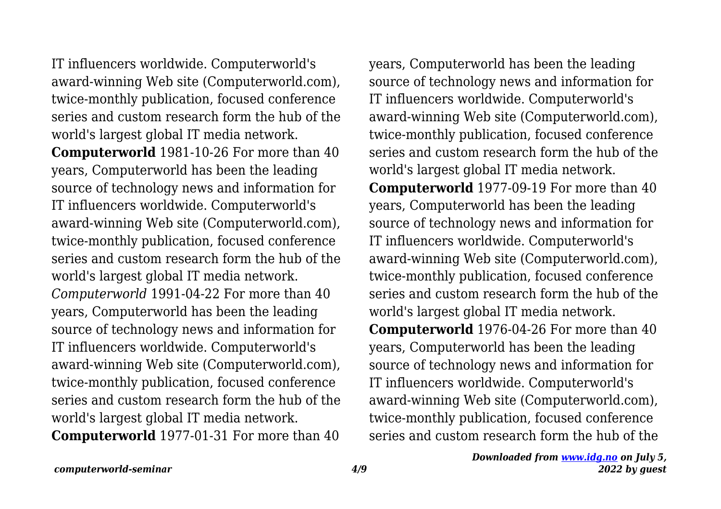IT influencers worldwide. Computerworld's award-winning Web site (Computerworld.com), twice-monthly publication, focused conference series and custom research form the hub of the world's largest global IT media network. **Computerworld** 1981-10-26 For more than 40 years, Computerworld has been the leading source of technology news and information for IT influencers worldwide. Computerworld's award-winning Web site (Computerworld.com), twice-monthly publication, focused conference series and custom research form the hub of the world's largest global IT media network. *Computerworld* 1991-04-22 For more than 40 years, Computerworld has been the leading source of technology news and information for IT influencers worldwide. Computerworld's award-winning Web site (Computerworld.com), twice-monthly publication, focused conference series and custom research form the hub of the world's largest global IT media network. **Computerworld** 1977-01-31 For more than 40

years, Computerworld has been the leading source of technology news and information for IT influencers worldwide. Computerworld's award-winning Web site (Computerworld.com), twice-monthly publication, focused conference series and custom research form the hub of the world's largest global IT media network. **Computerworld** 1977-09-19 For more than 40 years, Computerworld has been the leading source of technology news and information for IT influencers worldwide. Computerworld's award-winning Web site (Computerworld.com), twice-monthly publication, focused conference series and custom research form the hub of the world's largest global IT media network. **Computerworld** 1976-04-26 For more than 40 years, Computerworld has been the leading source of technology news and information for IT influencers worldwide. Computerworld's award-winning Web site (Computerworld.com), twice-monthly publication, focused conference series and custom research form the hub of the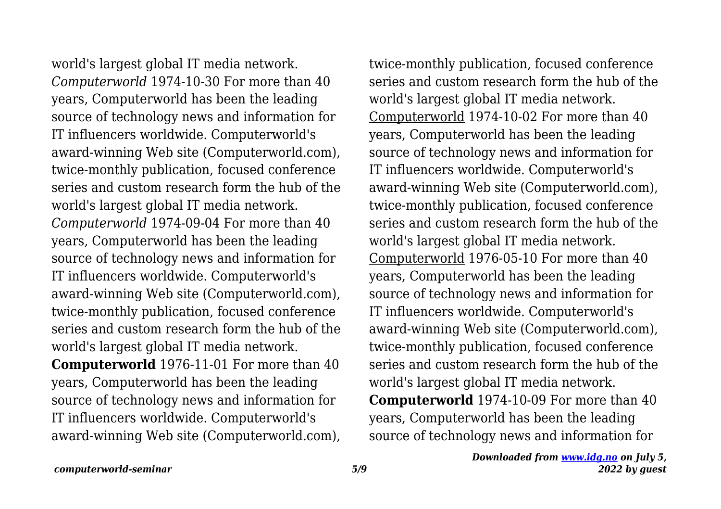world's largest global IT media network. *Computerworld* 1974-10-30 For more than 40 years, Computerworld has been the leading source of technology news and information for IT influencers worldwide. Computerworld's award-winning Web site (Computerworld.com), twice-monthly publication, focused conference series and custom research form the hub of the world's largest global IT media network. *Computerworld* 1974-09-04 For more than 40 years, Computerworld has been the leading source of technology news and information for IT influencers worldwide. Computerworld's award-winning Web site (Computerworld.com), twice-monthly publication, focused conference series and custom research form the hub of the world's largest global IT media network. **Computerworld** 1976-11-01 For more than 40 years, Computerworld has been the leading source of technology news and information for IT influencers worldwide. Computerworld's award-winning Web site (Computerworld.com), twice-monthly publication, focused conference series and custom research form the hub of the world's largest global IT media network. Computerworld 1974-10-02 For more than 40 years, Computerworld has been the leading source of technology news and information for IT influencers worldwide. Computerworld's award-winning Web site (Computerworld.com), twice-monthly publication, focused conference series and custom research form the hub of the world's largest global IT media network. Computerworld 1976-05-10 For more than 40 years, Computerworld has been the leading source of technology news and information for IT influencers worldwide. Computerworld's award-winning Web site (Computerworld.com), twice-monthly publication, focused conference series and custom research form the hub of the world's largest global IT media network. **Computerworld** 1974-10-09 For more than 40 years, Computerworld has been the leading source of technology news and information for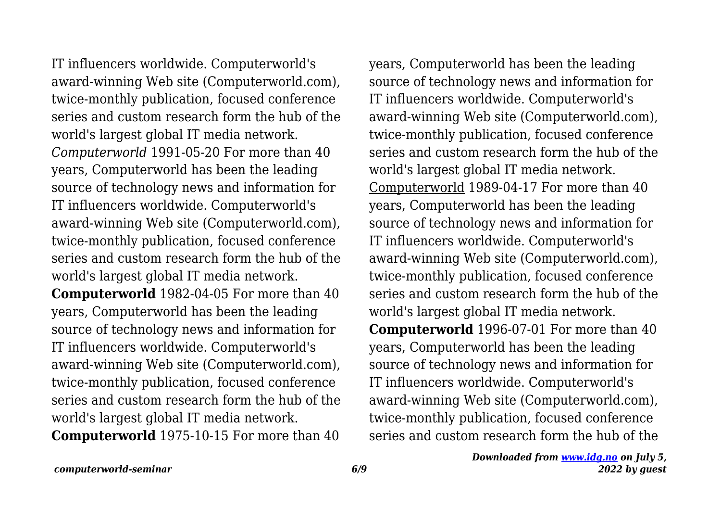IT influencers worldwide. Computerworld's award-winning Web site (Computerworld.com), twice-monthly publication, focused conference series and custom research form the hub of the world's largest global IT media network. *Computerworld* 1991-05-20 For more than 40 years, Computerworld has been the leading source of technology news and information for IT influencers worldwide. Computerworld's award-winning Web site (Computerworld.com), twice-monthly publication, focused conference series and custom research form the hub of the world's largest global IT media network. **Computerworld** 1982-04-05 For more than 40 years, Computerworld has been the leading source of technology news and information for IT influencers worldwide. Computerworld's award-winning Web site (Computerworld.com), twice-monthly publication, focused conference series and custom research form the hub of the world's largest global IT media network.

**Computerworld** 1975-10-15 For more than 40

years, Computerworld has been the leading source of technology news and information for IT influencers worldwide. Computerworld's award-winning Web site (Computerworld.com), twice-monthly publication, focused conference series and custom research form the hub of the world's largest global IT media network. Computerworld 1989-04-17 For more than 40 years, Computerworld has been the leading source of technology news and information for IT influencers worldwide. Computerworld's award-winning Web site (Computerworld.com), twice-monthly publication, focused conference series and custom research form the hub of the world's largest global IT media network. **Computerworld** 1996-07-01 For more than 40 years, Computerworld has been the leading source of technology news and information for IT influencers worldwide. Computerworld's award-winning Web site (Computerworld.com), twice-monthly publication, focused conference series and custom research form the hub of the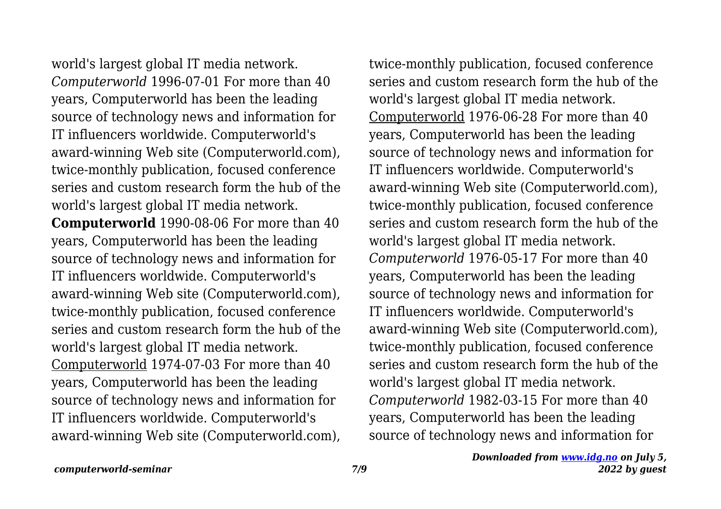world's largest global IT media network. *Computerworld* 1996-07-01 For more than 40 years, Computerworld has been the leading source of technology news and information for IT influencers worldwide. Computerworld's award-winning Web site (Computerworld.com), twice-monthly publication, focused conference series and custom research form the hub of the world's largest global IT media network. **Computerworld** 1990-08-06 For more than 40 years, Computerworld has been the leading source of technology news and information for IT influencers worldwide. Computerworld's award-winning Web site (Computerworld.com), twice-monthly publication, focused conference series and custom research form the hub of the world's largest global IT media network. Computerworld 1974-07-03 For more than 40 years, Computerworld has been the leading source of technology news and information for IT influencers worldwide. Computerworld's award-winning Web site (Computerworld.com), twice-monthly publication, focused conference series and custom research form the hub of the world's largest global IT media network. Computerworld 1976-06-28 For more than 40 years, Computerworld has been the leading source of technology news and information for IT influencers worldwide. Computerworld's award-winning Web site (Computerworld.com), twice-monthly publication, focused conference series and custom research form the hub of the world's largest global IT media network. *Computerworld* 1976-05-17 For more than 40 years, Computerworld has been the leading source of technology news and information for IT influencers worldwide. Computerworld's award-winning Web site (Computerworld.com), twice-monthly publication, focused conference series and custom research form the hub of the world's largest global IT media network. *Computerworld* 1982-03-15 For more than 40 years, Computerworld has been the leading source of technology news and information for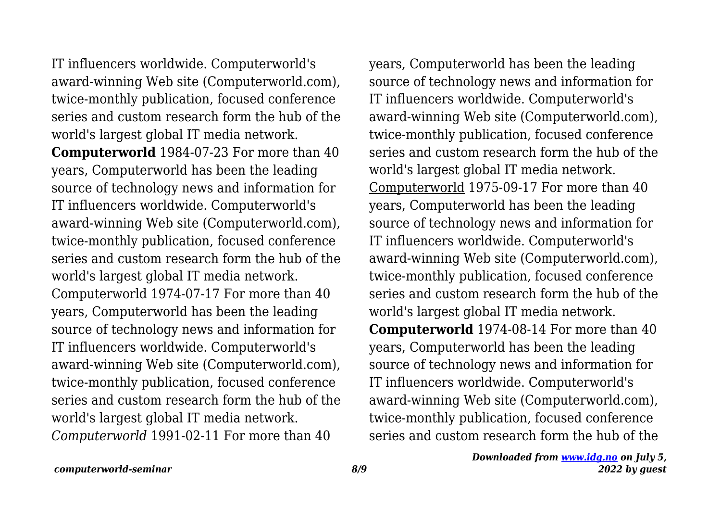IT influencers worldwide. Computerworld's award-winning Web site (Computerworld.com), twice-monthly publication, focused conference series and custom research form the hub of the world's largest global IT media network. **Computerworld** 1984-07-23 For more than 40 years, Computerworld has been the leading source of technology news and information for IT influencers worldwide. Computerworld's award-winning Web site (Computerworld.com), twice-monthly publication, focused conference series and custom research form the hub of the world's largest global IT media network. Computerworld 1974-07-17 For more than 40 years, Computerworld has been the leading source of technology news and information for IT influencers worldwide. Computerworld's award-winning Web site (Computerworld.com), twice-monthly publication, focused conference series and custom research form the hub of the world's largest global IT media network. *Computerworld* 1991-02-11 For more than 40

years, Computerworld has been the leading source of technology news and information for IT influencers worldwide. Computerworld's award-winning Web site (Computerworld.com), twice-monthly publication, focused conference series and custom research form the hub of the world's largest global IT media network. Computerworld 1975-09-17 For more than 40 years, Computerworld has been the leading source of technology news and information for IT influencers worldwide. Computerworld's award-winning Web site (Computerworld.com), twice-monthly publication, focused conference series and custom research form the hub of the world's largest global IT media network. **Computerworld** 1974-08-14 For more than 40 years, Computerworld has been the leading source of technology news and information for IT influencers worldwide. Computerworld's award-winning Web site (Computerworld.com), twice-monthly publication, focused conference series and custom research form the hub of the